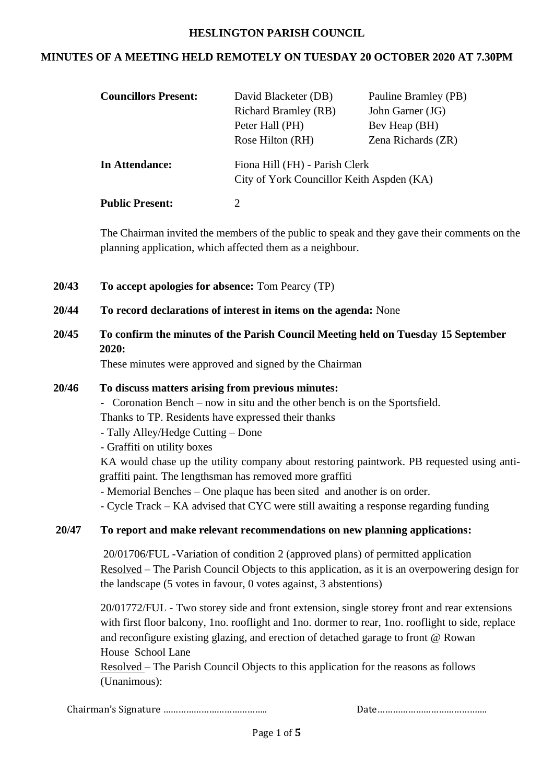#### **HESLINGTON PARISH COUNCIL**

### **MINUTES OF A MEETING HELD REMOTELY ON TUESDAY 20 OCTOBER 2020 AT 7.30PM**

| <b>Councillors Present:</b> | David Blacketer (DB)<br><b>Richard Bramley (RB)</b><br>Peter Hall (PH)<br>Rose Hilton (RH) | Pauline Bramley (PB)<br>John Garner (JG)<br>Bev Heap (BH)<br>Zena Richards (ZR) |
|-----------------------------|--------------------------------------------------------------------------------------------|---------------------------------------------------------------------------------|
| In Attendance:              | Fiona Hill (FH) - Parish Clerk<br>City of York Councillor Keith Aspden (KA)                |                                                                                 |
| <b>Public Present:</b>      | 2                                                                                          |                                                                                 |

The Chairman invited the members of the public to speak and they gave their comments on the planning application, which affected them as a neighbour.

- **20/43 To accept apologies for absence:** Tom Pearcy (TP)
- **20/44 To record declarations of interest in items on the agenda:** None
- **20/45 To confirm the minutes of the Parish Council Meeting held on Tuesday 15 September 2020:**

These minutes were approved and signed by the Chairman

#### **20/46 To discuss matters arising from previous minutes:**

**-** Coronation Bench – now in situ and the other bench is on the Sportsfield.

Thanks to TP. Residents have expressed their thanks

- Tally Alley/Hedge Cutting – Done

- Graffiti on utility boxes

KA would chase up the utility company about restoring paintwork. PB requested using antigraffiti paint. The lengthsman has removed more graffiti

- Memorial Benches – One plaque has been sited and another is on order.

- Cycle Track – KA advised that CYC were still awaiting a response regarding funding

#### **20/47 To report and make relevant recommendations on new planning applications:**

20/01706/FUL -Variation of condition 2 (approved plans) of permitted application Resolved – The Parish Council Objects to this application, as it is an overpowering design for the landscape (5 votes in favour, 0 votes against, 3 abstentions)

20/01772/FUL - Two storey side and front extension, single storey front and rear extensions with first floor balcony, 1no. rooflight and 1no. dormer to rear, 1no. rooflight to side, replace and reconfigure existing glazing, and erection of detached garage to front @ Rowan House School Lane

Resolved – The Parish Council Objects to this application for the reasons as follows (Unanimous):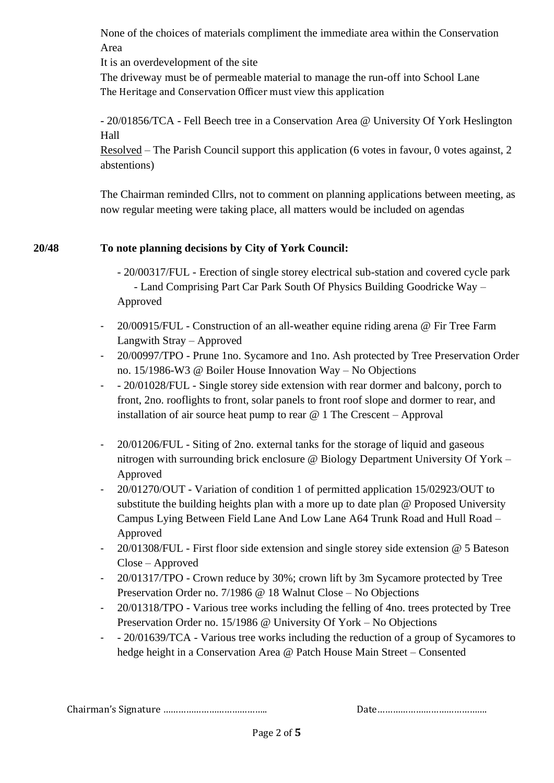None of the choices of materials compliment the immediate area within the Conservation Area

It is an overdevelopment of the site

The driveway must be of permeable material to manage the run-off into School Lane The Heritage and Conservation Officer must view this application

- 20/01856/TCA - Fell Beech tree in a Conservation Area @ University Of York Heslington Hall

Resolved – The Parish Council support this application (6 votes in favour, 0 votes against, 2 abstentions)

The Chairman reminded Cllrs, not to comment on planning applications between meeting, as now regular meeting were taking place, all matters would be included on agendas

# **20/48 To note planning decisions by City of York Council:**

- 20/00317/FUL Erection of single storey electrical sub-station and covered cycle park - Land Comprising Part Car Park South Of Physics Building Goodricke Way – Approved
- 20/00915/FUL Construction of an all-weather equine riding arena @ Fir Tree Farm Langwith Stray – Approved
- 20/00997/TPO Prune 1no. Sycamore and 1no. Ash protected by Tree Preservation Order no. 15/1986-W3 @ Boiler House Innovation Way – No Objections
- - 20/01028/FUL Single storey side extension with rear dormer and balcony, porch to front, 2no. rooflights to front, solar panels to front roof slope and dormer to rear, and installation of air source heat pump to rear  $@$  1 The Crescent – Approval
- 20/01206/FUL Siting of 2no. external tanks for the storage of liquid and gaseous nitrogen with surrounding brick enclosure @ Biology Department University Of York – Approved
- 20/01270/OUT Variation of condition 1 of permitted application 15/02923/OUT to substitute the building heights plan with a more up to date plan @ Proposed University Campus Lying Between Field Lane And Low Lane A64 Trunk Road and Hull Road – Approved
- 20/01308/FUL First floor side extension and single storey side extension @ 5 Bateson Close – Approved
- 20/01317/TPO Crown reduce by 30%; crown lift by 3m Sycamore protected by Tree Preservation Order no. 7/1986 @ 18 Walnut Close – No Objections
- 20/01318/TPO Various tree works including the felling of 4no. trees protected by Tree Preservation Order no. 15/1986 @ University Of York – No Objections
- - 20/01639/TCA Various tree works including the reduction of a group of Sycamores to hedge height in a Conservation Area @ Patch House Main Street – Consented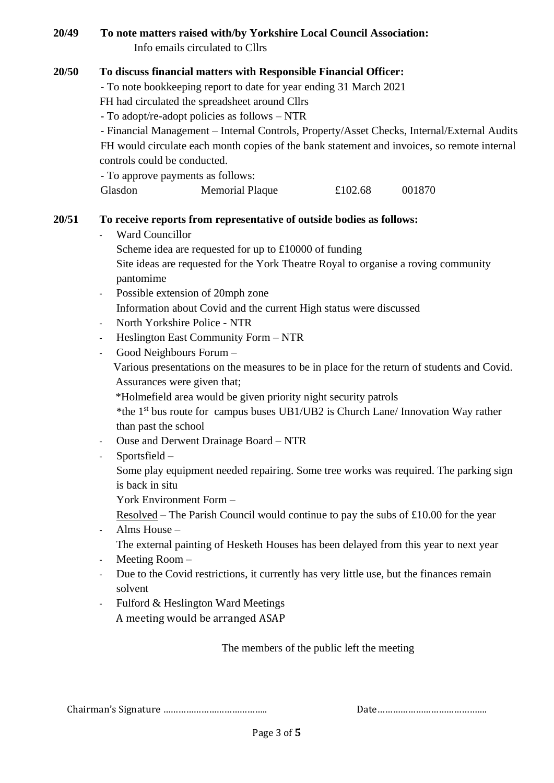## **20/49 To note matters raised with/by Yorkshire Local Council Association:** Info emails circulated to Cllrs

## **20/50 To discuss financial matters with Responsible Financial Officer:**

- To note bookkeeping report to date for year ending 31 March 2021

FH had circulated the spreadsheet around Cllrs

- To adopt/re-adopt policies as follows – NTR

- Financial Management – Internal Controls, Property/Asset Checks, Internal/External Audits FH would circulate each month copies of the bank statement and invoices, so remote internal controls could be conducted.

- To approve payments as follows:

Glasdon Memorial Plaque £102.68 001870

# **20/51 To receive reports from representative of outside bodies as follows:**

- Ward Councillor
	- Scheme idea are requested for up to £10000 of funding
		- Site ideas are requested for the York Theatre Royal to organise a roving community pantomime
- Possible extension of 20mph zone
- Information about Covid and the current High status were discussed
- North Yorkshire Police NTR
- Heslington East Community Form NTR
- Good Neighbours Forum -

 Various presentations on the measures to be in place for the return of students and Covid. Assurances were given that;

\*Holmefield area would be given priority night security patrols

\*the 1 st bus route for campus buses UB1/UB2 is Church Lane/ Innovation Way rather than past the school

- Ouse and Derwent Drainage Board NTR
- Sportsfield
	- Some play equipment needed repairing. Some tree works was required. The parking sign is back in situ
	- York Environment Form –
	- Resolved The Parish Council would continue to pay the subs of £10.00 for the year
- Alms House –
- The external painting of Hesketh Houses has been delayed from this year to next year
- Meeting Room –
- Due to the Covid restrictions, it currently has very little use, but the finances remain solvent
- Fulford & Heslington Ward Meetings A meeting would be arranged ASAP

The members of the public left the meeting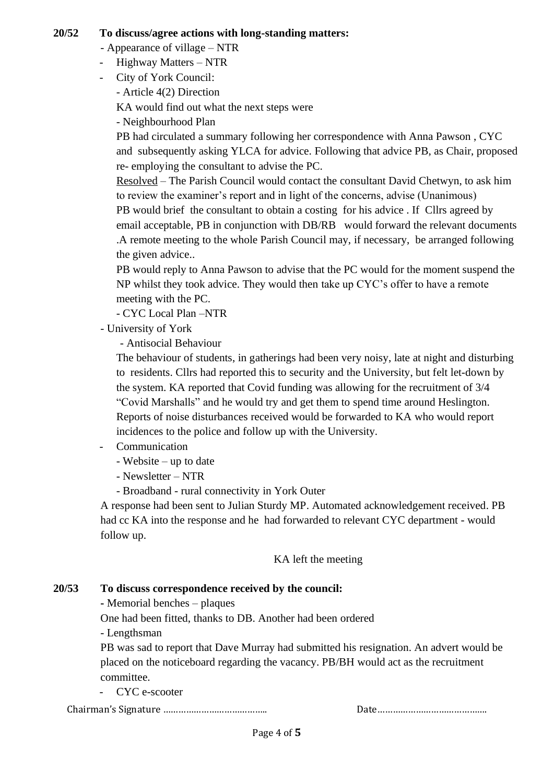#### **20/52 To discuss/agree actions with long-standing matters:**

- Appearance of village NTR
- Highway Matters NTR
- City of York Council:

- Article 4(2) Direction

KA would find out what the next steps were

- Neighbourhood Plan

PB had circulated a summary following her correspondence with Anna Pawson , CYC and subsequently asking YLCA for advice. Following that advice PB, as Chair, proposed re- employing the consultant to advise the PC.

Resolved – The Parish Council would contact the consultant David Chetwyn, to ask him to review the examiner's report and in light of the concerns, advise (Unanimous) PB would brief the consultant to obtain a costing for his advice . If Cllrs agreed by email acceptable, PB in conjunction with DB/RB would forward the relevant documents .A remote meeting to the whole Parish Council may, if necessary, be arranged following the given advice..

PB would reply to Anna Pawson to advise that the PC would for the moment suspend the NP whilst they took advice. They would then take up CYC's offer to have a remote meeting with the PC.

- CYC Local Plan –NTR

- University of York

- Antisocial Behaviour

The behaviour of students, in gatherings had been very noisy, late at night and disturbing to residents. Cllrs had reported this to security and the University, but felt let-down by the system. KA reported that Covid funding was allowing for the recruitment of 3/4 "Covid Marshalls" and he would try and get them to spend time around Heslington. Reports of noise disturbances received would be forwarded to KA who would report incidences to the police and follow up with the University.

- **Communication** 
	- Website up to date
	- Newsletter NTR

- Broadband - rural connectivity in York Outer

A response had been sent to Julian Sturdy MP. Automated acknowledgement received. PB had cc KA into the response and he had forwarded to relevant CYC department - would follow up.

KA left the meeting

## **20/53 To discuss correspondence received by the council:**

**-** Memorial benches – plaques

One had been fitted, thanks to DB. Another had been ordered

- Lengthsman

PB was sad to report that Dave Murray had submitted his resignation. An advert would be placed on the noticeboard regarding the vacancy. PB/BH would act as the recruitment committee.

- CYC e-scooter